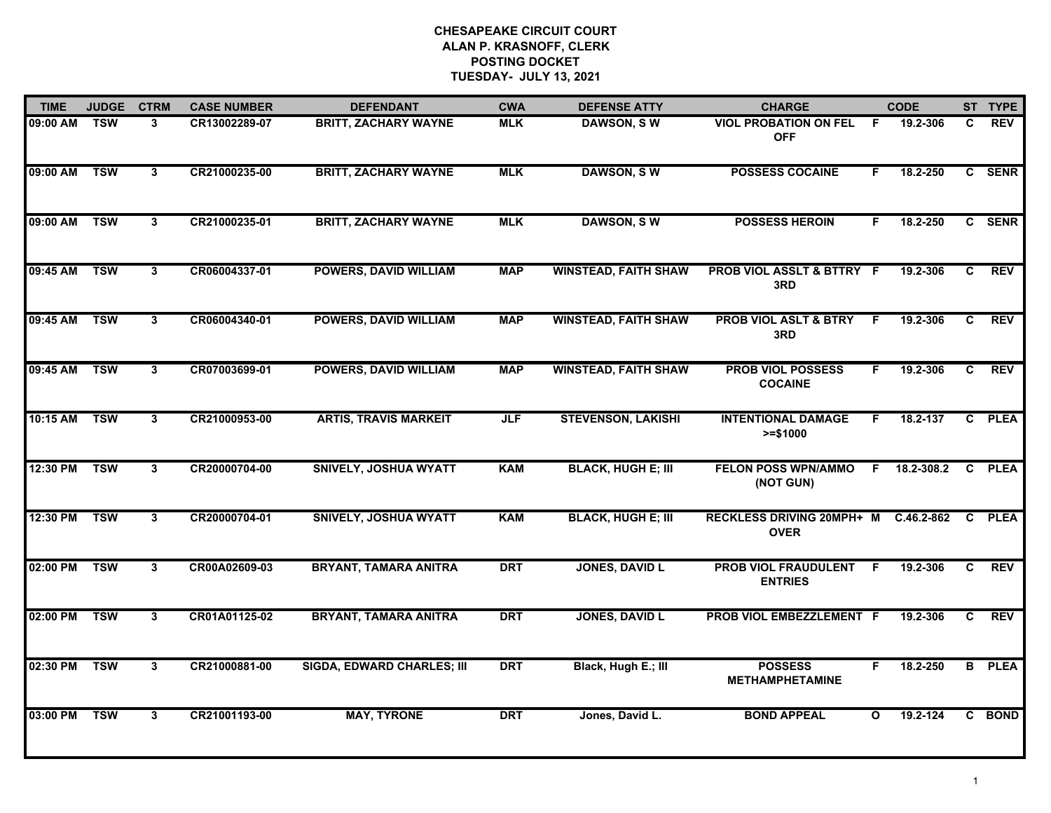| <b>TIME</b>  | <b>JUDGE</b> | <b>CTRM</b>  | <b>CASE NUMBER</b> | <b>DEFENDANT</b>                  | <b>CWA</b> | <b>DEFENSE ATTY</b>         | <b>CHARGE</b>                                 |              | <b>CODE</b> |                | ST TYPE       |
|--------------|--------------|--------------|--------------------|-----------------------------------|------------|-----------------------------|-----------------------------------------------|--------------|-------------|----------------|---------------|
| 09:00 AM     | <b>TSW</b>   | 3            | CR13002289-07      | <b>BRITT, ZACHARY WAYNE</b>       | <b>MLK</b> | <b>DAWSON, SW</b>           | <b>VIOL PROBATION ON FEL</b><br><b>OFF</b>    | -F           | 19.2-306    | C.             | <b>REV</b>    |
| 09:00 AM     | <b>TSW</b>   | $\mathbf{3}$ | CR21000235-00      | <b>BRITT, ZACHARY WAYNE</b>       | <b>MLK</b> | <b>DAWSON, SW</b>           | <b>POSSESS COCAINE</b>                        | F.           | 18.2-250    |                | C SENR        |
| 09:00 AM     | <b>TSW</b>   | 3            | CR21000235-01      | <b>BRITT, ZACHARY WAYNE</b>       | <b>MLK</b> | <b>DAWSON, SW</b>           | <b>POSSESS HEROIN</b>                         | F.           | 18.2-250    |                | C SENR        |
| 09:45 AM     | <b>TSW</b>   | 3            | CR06004337-01      | <b>POWERS, DAVID WILLIAM</b>      | <b>MAP</b> | <b>WINSTEAD, FAITH SHAW</b> | PROB VIOL ASSLT & BTTRY F<br>3RD              |              | 19.2-306    | C              | <b>REV</b>    |
| 09:45 AM     | <b>TSW</b>   | $\mathbf{3}$ | CR06004340-01      | <b>POWERS, DAVID WILLIAM</b>      | <b>MAP</b> | <b>WINSTEAD, FAITH SHAW</b> | <b>PROB VIOL ASLT &amp; BTRY</b><br>3RD       | F.           | 19.2-306    | $\mathbf{c}$   | <b>REV</b>    |
| 09:45 AM     | <b>TSW</b>   | 3            | CR07003699-01      | <b>POWERS, DAVID WILLIAM</b>      | <b>MAP</b> | <b>WINSTEAD, FAITH SHAW</b> | <b>PROB VIOL POSSESS</b><br><b>COCAINE</b>    | F.           | 19.2-306    | C.             | REV           |
| 10:15 AM TSW |              | 3            | CR21000953-00      | <b>ARTIS, TRAVIS MARKEIT</b>      | <b>JLF</b> | <b>STEVENSON, LAKISHI</b>   | <b>INTENTIONAL DAMAGE</b><br>$>= $1000$       | F.           | 18.2-137    | $\overline{c}$ | <b>PLEA</b>   |
| 12:30 PM     | <b>TSW</b>   | $\mathbf{3}$ | CR20000704-00      | <b>SNIVELY, JOSHUA WYATT</b>      | <b>KAM</b> | <b>BLACK, HUGH E; III</b>   | <b>FELON POSS WPN/AMMO</b><br>(NOT GUN)       | F            | 18.2-308.2  | $\mathbf{C}$   | <b>PLEA</b>   |
| 12:30 PM     | <b>TSW</b>   | 3            | CR20000704-01      | <b>SNIVELY, JOSHUA WYATT</b>      | <b>KAM</b> | <b>BLACK, HUGH E; III</b>   | RECKLESS DRIVING 20MPH+ M<br><b>OVER</b>      |              | C.46.2-862  | C.             | <b>PLEA</b>   |
| 02:00 PM     | <b>TSW</b>   | $\mathbf{3}$ | CR00A02609-03      | <b>BRYANT, TAMARA ANITRA</b>      | <b>DRT</b> | <b>JONES, DAVID L</b>       | <b>PROB VIOL FRAUDULENT</b><br><b>ENTRIES</b> | F            | 19.2-306    | $\mathbf{C}$   | <b>REV</b>    |
| 02:00 PM     | <b>TSW</b>   | 3            | CR01A01125-02      | <b>BRYANT, TAMARA ANITRA</b>      | <b>DRT</b> | <b>JONES, DAVID L</b>       | PROB VIOL EMBEZZLEMENT F                      |              | 19.2-306    | C              | <b>REV</b>    |
| 02:30 PM     | <b>TSW</b>   | 3            | CR21000881-00      | <b>SIGDA, EDWARD CHARLES; III</b> | <b>DRT</b> | Black, Hugh E.; III         | <b>POSSESS</b><br><b>METHAMPHETAMINE</b>      | F.           | 18.2-250    |                | <b>B</b> PLEA |
| 03:00 PM     | <b>TSW</b>   | $\mathbf{3}$ | CR21001193-00      | <b>MAY, TYRONE</b>                | <b>DRT</b> | Jones, David L.             | <b>BOND APPEAL</b>                            | $\mathbf{o}$ | 19.2-124    |                | C BOND        |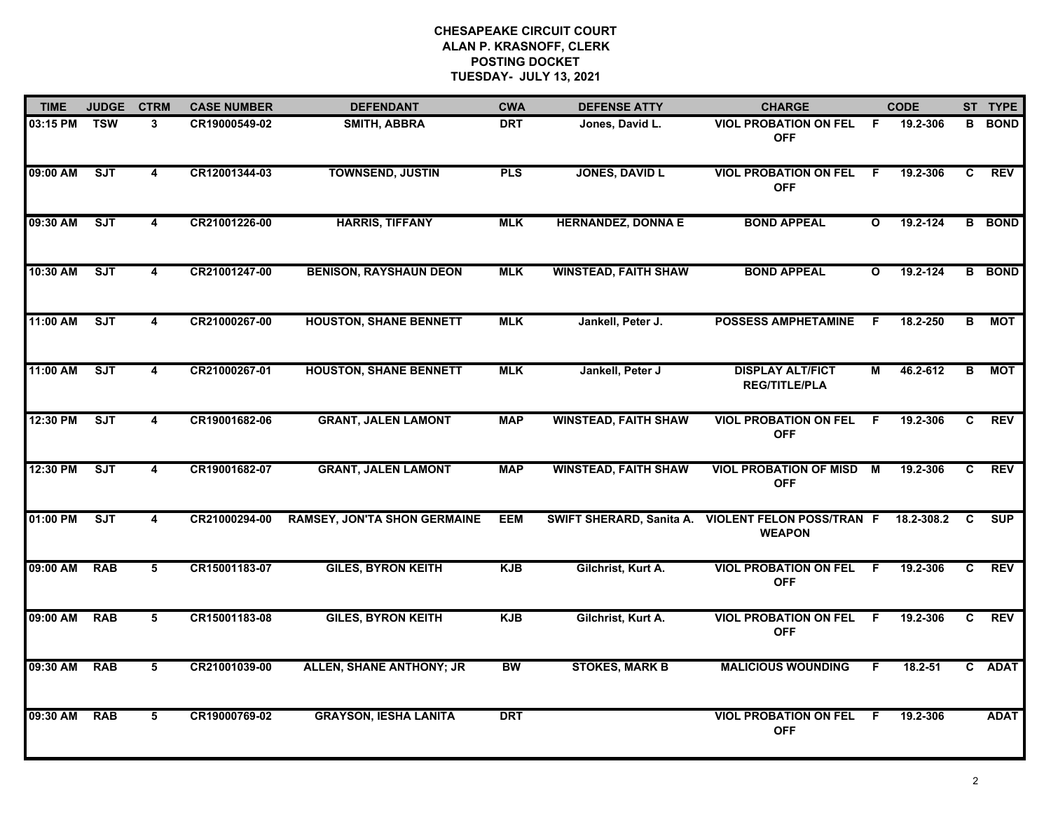| <b>TIME</b> | <b>JUDGE</b> | <b>CTRM</b>             | <b>CASE NUMBER</b> | <b>DEFENDANT</b>                    | <b>CWA</b> | <b>DEFENSE ATTY</b>         | <b>CHARGE</b>                                     |                | <b>CODE</b>  |    | ST TYPE       |
|-------------|--------------|-------------------------|--------------------|-------------------------------------|------------|-----------------------------|---------------------------------------------------|----------------|--------------|----|---------------|
| 03:15 PM    | <b>TSW</b>   | 3                       | CR19000549-02      | SMITH, ABBRA                        | <b>DRT</b> | Jones, David L.             | <b>VIOL PROBATION ON FEL</b><br><b>OFF</b>        | -F             | 19.2-306     | B  | <b>BOND</b>   |
| 09:00 AM    | ST           | 4                       | CR12001344-03      | <b>TOWNSEND, JUSTIN</b>             | <b>PLS</b> | <b>JONES, DAVID L</b>       | <b>VIOL PROBATION ON FEL</b><br><b>OFF</b>        | -F             | 19.2-306     | C  | <b>REV</b>    |
| 09:30 AM    | SJT          | 4                       | CR21001226-00      | <b>HARRIS, TIFFANY</b>              | <b>MLK</b> | <b>HERNANDEZ, DONNA E</b>   | <b>BOND APPEAL</b>                                | $\mathbf{o}$   | 19.2-124     |    | <b>B</b> BOND |
| 10:30 AM    | SJT          | 4                       | CR21001247-00      | <b>BENISON, RAYSHAUN DEON</b>       | <b>MLK</b> | <b>WINSTEAD, FAITH SHAW</b> | <b>BOND APPEAL</b>                                | $\mathbf{o}$   | $19.2 - 124$ |    | <b>B</b> BOND |
| 11:00 AM    | <b>SJT</b>   | 4                       | CR21000267-00      | <b>HOUSTON, SHANE BENNETT</b>       | <b>MLK</b> | Jankell, Peter J.           | <b>POSSESS AMPHETAMINE</b>                        | F              | 18.2-250     | B  | <b>MOT</b>    |
| 11:00 AM    | ST           | 4                       | CR21000267-01      | <b>HOUSTON, SHANE BENNETT</b>       | <b>MLK</b> | Jankell, Peter J            | <b>DISPLAY ALT/FICT</b><br><b>REG/TITLE/PLA</b>   | M              | 46.2-612     | B  | <b>MOT</b>    |
| 12:30 PM    | ST           | $\overline{\mathbf{4}}$ | CR19001682-06      | <b>GRANT, JALEN LAMONT</b>          | <b>MAP</b> | <b>WINSTEAD, FAITH SHAW</b> | <b>VIOL PROBATION ON FEL</b><br><b>OFF</b>        | $\overline{F}$ | 19.2-306     | C  | <b>REV</b>    |
| 12:30 PM    | ST           | 4                       | CR19001682-07      | <b>GRANT, JALEN LAMONT</b>          | <b>MAP</b> | <b>WINSTEAD, FAITH SHAW</b> | <b>VIOL PROBATION OF MISD</b><br><b>OFF</b>       | М              | 19.2-306     | C. | <b>REV</b>    |
| 01:00 PM    | <b>SJT</b>   | 4                       | CR21000294-00      | <b>RAMSEY, JON'TA SHON GERMAINE</b> | <b>EEM</b> | SWIFT SHERARD, Sanita A.    | <b>VIOLENT FELON POSS/TRAN F</b><br><b>WEAPON</b> |                | 18.2-308.2   | C  | <b>SUP</b>    |
| 09:00 AM    | <b>RAB</b>   | 5                       | CR15001183-07      | <b>GILES, BYRON KEITH</b>           | <b>KJB</b> | Gilchrist, Kurt A.          | <b>VIOL PROBATION ON FEL</b><br><b>OFF</b>        | - F            | 19.2-306     | C  | <b>REV</b>    |
| 09:00 AM    | <b>RAB</b>   | 5                       | CR15001183-08      | <b>GILES, BYRON KEITH</b>           | <b>KJB</b> | Gilchrist, Kurt A.          | <b>VIOL PROBATION ON FEL F</b><br><b>OFF</b>      |                | 19.2-306     | C  | <b>REV</b>    |
| 09:30 AM    | <b>RAB</b>   | 5                       | CR21001039-00      | <b>ALLEN, SHANE ANTHONY; JR</b>     | <b>BW</b>  | <b>STOKES, MARK B</b>       | <b>MALICIOUS WOUNDING</b>                         | F.             | $18.2 - 51$  |    | C ADAT        |
| 09:30 AM    | <b>RAB</b>   | 5                       | CR19000769-02      | <b>GRAYSON, IESHA LANITA</b>        | <b>DRT</b> |                             | <b>VIOL PROBATION ON FEL</b><br><b>OFF</b>        | F              | 19.2-306     |    | <b>ADAT</b>   |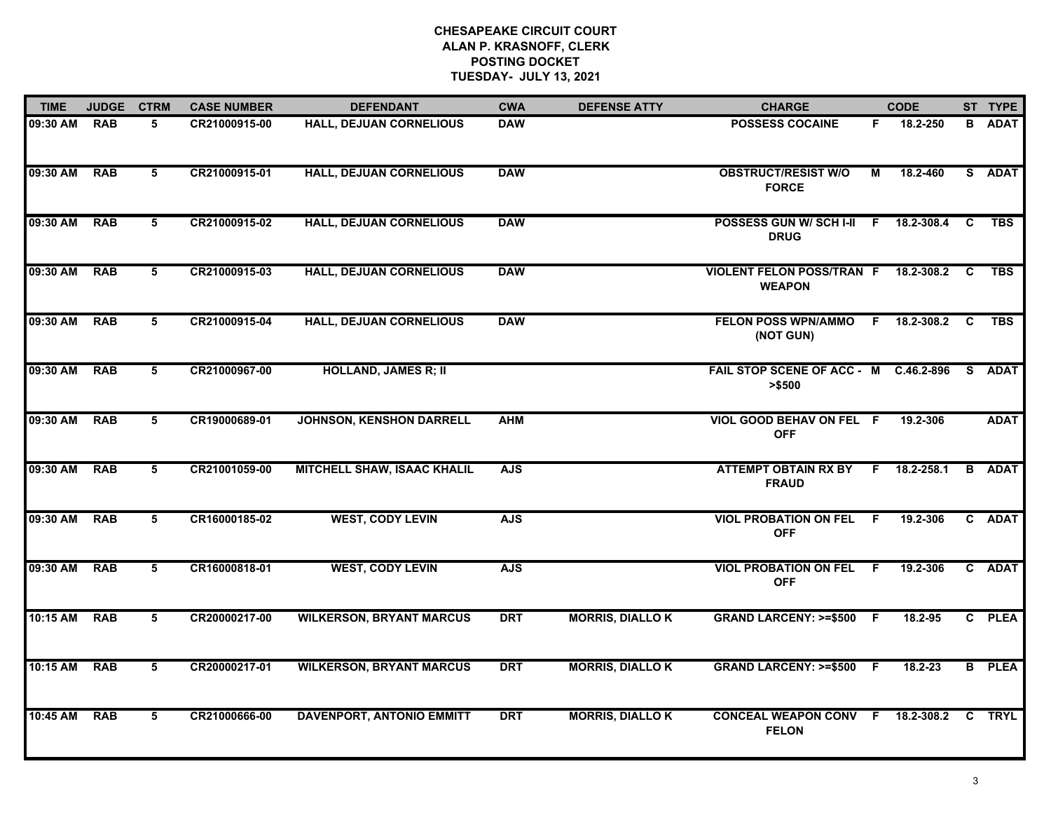| <b>TIME</b>  | <b>JUDGE</b> | <b>CTRM</b>     | <b>CASE NUMBER</b> | <b>DEFENDANT</b>                   | <b>CWA</b> | <b>DEFENSE ATTY</b>    | <b>CHARGE</b>                                           |    | <b>CODE</b>    |              | ST TYPE       |
|--------------|--------------|-----------------|--------------------|------------------------------------|------------|------------------------|---------------------------------------------------------|----|----------------|--------------|---------------|
| 09:30 AM RAB |              | 5               | CR21000915-00      | <b>HALL, DEJUAN CORNELIOUS</b>     | <b>DAW</b> |                        | <b>POSSESS COCAINE</b>                                  | F. | 18.2-250       |              | <b>B</b> ADAT |
| 09:30 AM     | <b>RAB</b>   | 5               | CR21000915-01      | <b>HALL, DEJUAN CORNELIOUS</b>     | <b>DAW</b> |                        | <b>OBSTRUCT/RESIST W/O</b><br><b>FORCE</b>              | М  | 18.2-460       |              | S ADAT        |
| 09:30 AM     | <b>RAB</b>   | 5               | CR21000915-02      | <b>HALL, DEJUAN CORNELIOUS</b>     | <b>DAW</b> |                        | POSSESS GUN W/ SCH I-II<br><b>DRUG</b>                  | F. | 18.2-308.4     | C            | <b>TBS</b>    |
| 09:30 AM     | <b>RAB</b>   | 5               | CR21000915-03      | <b>HALL, DEJUAN CORNELIOUS</b>     | <b>DAW</b> |                        | VIOLENT FELON POSS/TRAN F 18.2-308.2 C<br><b>WEAPON</b> |    |                |              | <b>TBS</b>    |
| 09:30 AM     | <b>RAB</b>   | 5               | CR21000915-04      | <b>HALL, DEJUAN CORNELIOUS</b>     | <b>DAW</b> |                        | <b>FELON POSS WPN/AMMO</b><br>(NOT GUN)                 |    | F 18.2-308.2   | C            | <b>TBS</b>    |
| 09:30 AM     | <b>RAB</b>   | 5               | CR21000967-00      | <b>HOLLAND, JAMES R; II</b>        |            |                        | FAIL STOP SCENE OF ACC - M C.46.2-896<br>> \$500        |    |                | S.           | <b>ADAT</b>   |
| 09:30 AM     | <b>RAB</b>   | $5\overline{5}$ | CR19000689-01      | <b>JOHNSON, KENSHON DARRELL</b>    | <b>AHM</b> |                        | VIOL GOOD BEHAV ON FEL F<br><b>OFF</b>                  |    | 19.2-306       |              | <b>ADAT</b>   |
| 09:30 AM     | <b>RAB</b>   | $5\overline{)}$ | CR21001059-00      | <b>MITCHELL SHAW, ISAAC KHALIL</b> | <b>AJS</b> |                        | <b>ATTEMPT OBTAIN RX BY</b><br><b>FRAUD</b>             |    | $F$ 18.2-258.1 | $\mathbf{B}$ | <b>ADAT</b>   |
| 09:30 AM     | <b>RAB</b>   | 5               | CR16000185-02      | <b>WEST, CODY LEVIN</b>            | <b>AJS</b> |                        | <b>VIOL PROBATION ON FEL F</b><br><b>OFF</b>            |    | 19.2-306       |              | C ADAT        |
| 09:30 AM     | <b>RAB</b>   | 5               | CR16000818-01      | <b>WEST, CODY LEVIN</b>            | <b>AJS</b> |                        | <b>VIOL PROBATION ON FEL F</b><br><b>OFF</b>            |    | 19.2-306       |              | C ADAT        |
| 10:15 AM     | <b>RAB</b>   | 5               | CR20000217-00      | <b>WILKERSON, BRYANT MARCUS</b>    | <b>DRT</b> | <b>MORRIS, DIALLOK</b> | GRAND LARCENY: >=\$500 F                                |    | 18.2-95        |              | C PLEA        |
| 10:15 AM     | <b>RAB</b>   | 5               | CR20000217-01      | <b>WILKERSON, BRYANT MARCUS</b>    | <b>DRT</b> | <b>MORRIS, DIALLOK</b> | GRAND LARCENY: >=\$500 F                                |    | 18.2-23        |              | <b>B</b> PLEA |
| 10:45 AM     | <b>RAB</b>   | 5               | CR21000666-00      | <b>DAVENPORT, ANTONIO EMMITT</b>   | <b>DRT</b> | <b>MORRIS, DIALLOK</b> | CONCEAL WEAPON CONV F 18.2-308.2<br><b>FELON</b>        |    |                |              | <b>C</b> TRYL |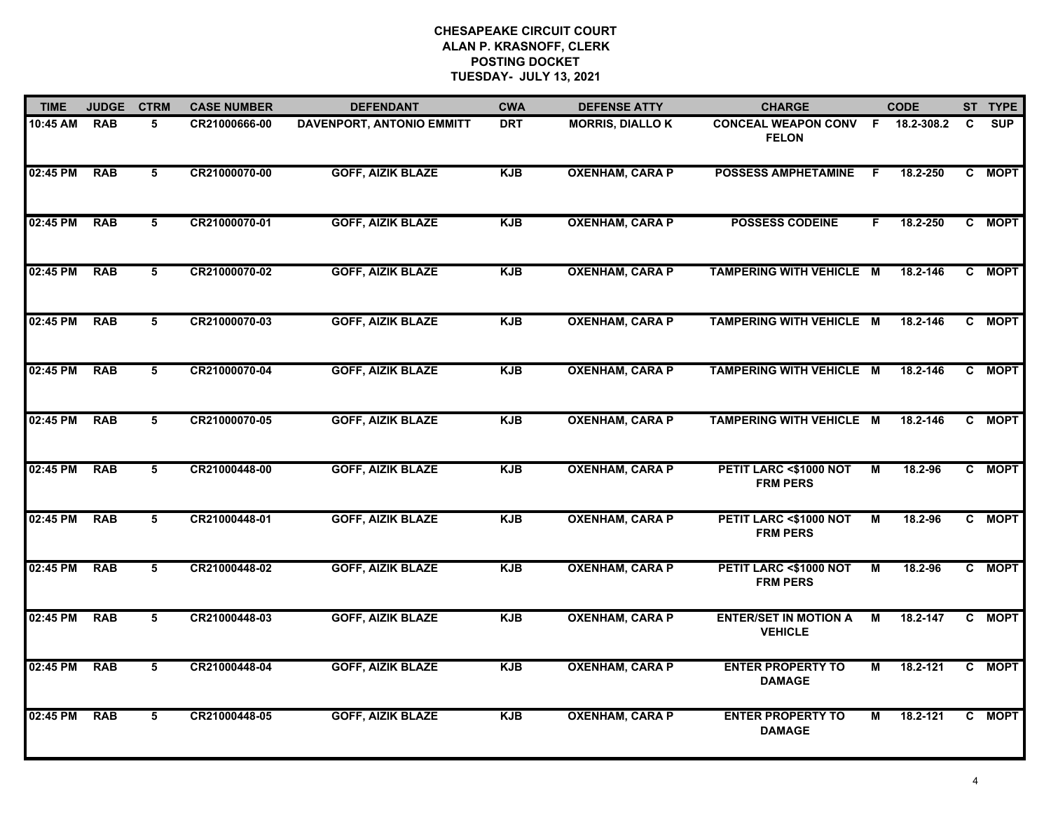| <b>TIME</b> | <b>JUDGE</b> | <b>CTRM</b>     | <b>CASE NUMBER</b> | <b>DEFENDANT</b>                 | <b>CWA</b> | <b>DEFENSE ATTY</b>    | <b>CHARGE</b>                                  |    | <b>CODE</b> |   | ST TYPE    |
|-------------|--------------|-----------------|--------------------|----------------------------------|------------|------------------------|------------------------------------------------|----|-------------|---|------------|
| 10:45 AM    | <b>RAB</b>   | 5               | CR21000666-00      | <b>DAVENPORT, ANTONIO EMMITT</b> | <b>DRT</b> | <b>MORRIS, DIALLOK</b> | <b>CONCEAL WEAPON CONV F</b><br><b>FELON</b>   |    | 18.2-308.2  | C | <b>SUP</b> |
| 02:45 PM    | <b>RAB</b>   | 5               | CR21000070-00      | <b>GOFF, AIZIK BLAZE</b>         | <b>KJB</b> | <b>OXENHAM, CARA P</b> | <b>POSSESS AMPHETAMINE</b>                     | -F | 18.2-250    |   | C MOPT     |
| 02:45 PM    | <b>RAB</b>   | $5\overline{)}$ | CR21000070-01      | <b>GOFF, AIZIK BLAZE</b>         | <b>KJB</b> | <b>OXENHAM, CARA P</b> | <b>POSSESS CODEINE</b>                         | F. | 18.2-250    |   | C MOPT     |
| 02:45 PM    | <b>RAB</b>   | 5               | CR21000070-02      | <b>GOFF, AIZIK BLAZE</b>         | <b>KJB</b> | <b>OXENHAM, CARA P</b> | TAMPERING WITH VEHICLE M                       |    | 18.2-146    |   | C MOPT     |
| 02:45 PM    | <b>RAB</b>   | 5               | CR21000070-03      | <b>GOFF, AIZIK BLAZE</b>         | <b>KJB</b> | <b>OXENHAM, CARA P</b> | TAMPERING WITH VEHICLE M                       |    | 18.2-146    |   | C MOPT     |
| 02:45 PM    | <b>RAB</b>   | 5               | CR21000070-04      | <b>GOFF, AIZIK BLAZE</b>         | <b>KJB</b> | <b>OXENHAM, CARA P</b> | TAMPERING WITH VEHICLE M                       |    | 18.2-146    |   | C MOPT     |
| 02:45 PM    | <b>RAB</b>   | 5               | CR21000070-05      | <b>GOFF, AIZIK BLAZE</b>         | <b>KJB</b> | <b>OXENHAM, CARA P</b> | TAMPERING WITH VEHICLE M                       |    | 18.2-146    |   | C MOPT     |
| 02:45 PM    | <b>RAB</b>   | 5               | CR21000448-00      | <b>GOFF, AIZIK BLAZE</b>         | <b>KJB</b> | <b>OXENHAM, CARA P</b> | PETIT LARC <\$1000 NOT<br><b>FRM PERS</b>      | М  | 18.2-96     |   | C MOPT     |
| 02:45 PM    | <b>RAB</b>   | 5               | CR21000448-01      | <b>GOFF, AIZIK BLAZE</b>         | <b>KJB</b> | <b>OXENHAM, CARA P</b> | PETIT LARC <\$1000 NOT<br><b>FRM PERS</b>      | M  | 18.2-96     |   | C MOPT     |
| 02:45 PM    | <b>RAB</b>   | 5               | CR21000448-02      | <b>GOFF, AIZIK BLAZE</b>         | <b>KJB</b> | <b>OXENHAM, CARA P</b> | PETIT LARC <\$1000 NOT<br><b>FRM PERS</b>      | М  | 18.2-96     |   | C MOPT     |
| 02:45 PM    | <b>RAB</b>   | 5               | CR21000448-03      | <b>GOFF, AIZIK BLAZE</b>         | <b>KJB</b> | <b>OXENHAM, CARA P</b> | <b>ENTER/SET IN MOTION A</b><br><b>VEHICLE</b> | М  | 18.2-147    |   | C MOPT     |
| 02:45 PM    | <b>RAB</b>   | 5               | CR21000448-04      | <b>GOFF, AIZIK BLAZE</b>         | <b>KJB</b> | <b>OXENHAM, CARA P</b> | <b>ENTER PROPERTY TO</b><br><b>DAMAGE</b>      | М  | 18.2-121    |   | C MOPT     |
| 02:45 PM    | <b>RAB</b>   | 5               | CR21000448-05      | <b>GOFF, AIZIK BLAZE</b>         | <b>KJB</b> | <b>OXENHAM, CARA P</b> | <b>ENTER PROPERTY TO</b><br><b>DAMAGE</b>      | М  | 18.2-121    |   | C MOPT     |